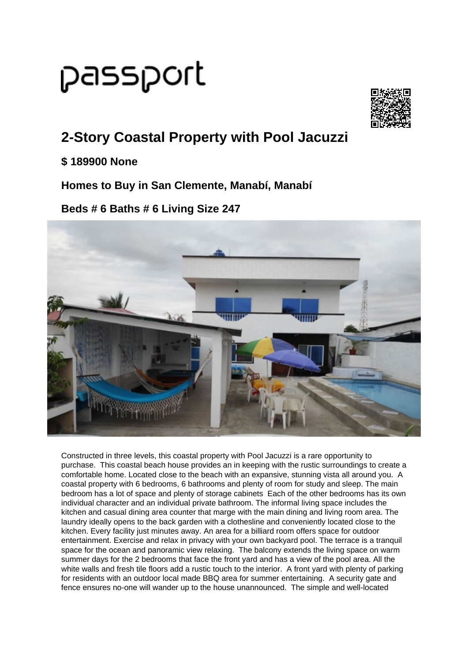# passport



## **2-Story Coastal Property with Pool Jacuzzi**

#### **\$ 189900 None**

**Homes to Buy in San Clemente, Manabí, Manabí**

### **Beds # 6 Baths # 6 Living Size 247**



Constructed in three levels, this coastal property with Pool Jacuzzi is a rare opportunity to purchase. This coastal beach house provides an in keeping with the rustic surroundings to create a comfortable home. Located close to the beach with an expansive, stunning vista all around you. A coastal property with 6 bedrooms, 6 bathrooms and plenty of room for study and sleep. The main bedroom has a lot of space and plenty of storage cabinets Each of the other bedrooms has its own individual character and an individual private bathroom. The informal living space includes the kitchen and casual dining area counter that marge with the main dining and living room area. The laundry ideally opens to the back garden with a clothesline and conveniently located close to the kitchen. Every facility just minutes away. An area for a billiard room offers space for outdoor entertainment. Exercise and relax in privacy with your own backyard pool. The terrace is a tranquil space for the ocean and panoramic view relaxing. The balcony extends the living space on warm summer days for the 2 bedrooms that face the front yard and has a view of the pool area. All the white walls and fresh tile floors add a rustic touch to the interior. A front yard with plenty of parking for residents with an outdoor local made BBQ area for summer entertaining. A security gate and fence ensures no-one will wander up to the house unannounced. The simple and well-located